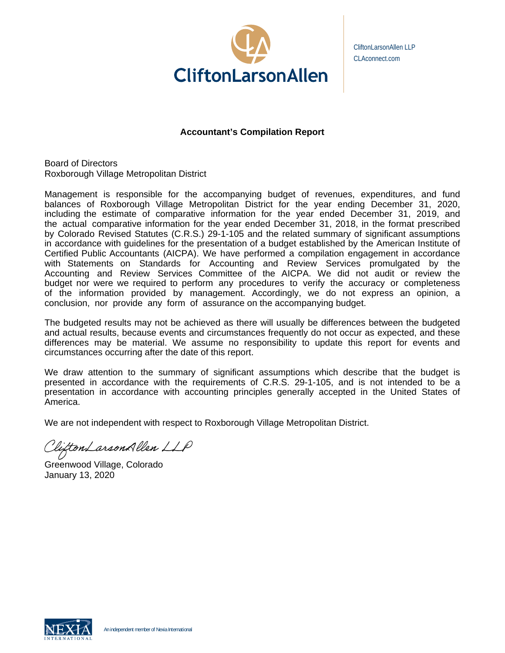

CliftonLarsonAllen LLP CLAconnect.com

# **Accountant's Compilation Report**

Board of Directors Roxborough Village Metropolitan District

Management is responsible for the accompanying budget of revenues, expenditures, and fund balances of Roxborough Village Metropolitan District for the year ending December 31, 2020, including the estimate of comparative information for the year ended December 31, 2019, and the actual comparative information for the year ended December 31, 2018, in the format prescribed by Colorado Revised Statutes (C.R.S.) 29-1-105 and the related summary of significant assumptions in accordance with guidelines for the presentation of a budget established by the American Institute of Certified Public Accountants (AICPA). We have performed a compilation engagement in accordance with Statements on Standards for Accounting and Review Services promulgated by the Accounting and Review Services Committee of the AICPA. We did not audit or review the budget nor were we required to perform any procedures to verify the accuracy or completeness of the information provided by management. Accordingly, we do not express an opinion, a conclusion, nor provide any form of assurance on the accompanying budget.

The budgeted results may not be achieved as there will usually be differences between the budgeted and actual results, because events and circumstances frequently do not occur as expected, and these differences may be material. We assume no responsibility to update this report for events and circumstances occurring after the date of this report.

We draw attention to the summary of significant assumptions which describe that the budget is presented in accordance with the requirements of C.R.S. 29-1-105, and is not intended to be a presentation in accordance with accounting principles generally accepted in the United States of America.

We are not independent with respect to Roxborough Village Metropolitan District.

CliftonLarsonAllen LLP

Greenwood Village, Colorado January 13, 2020

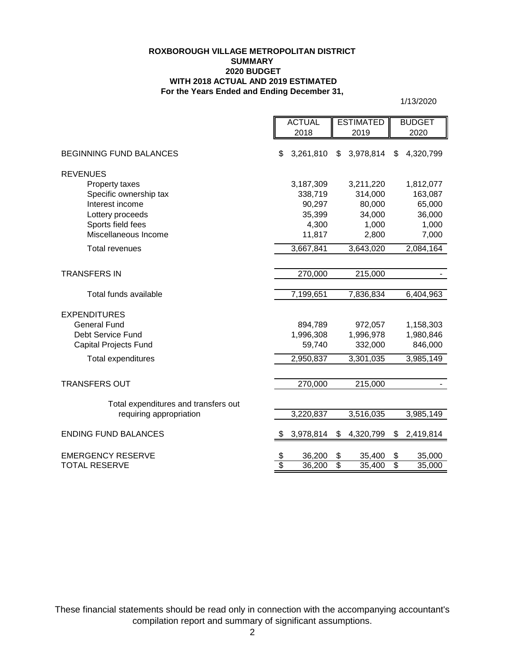#### **ROXBOROUGH VILLAGE METROPOLITAN DISTRICT SUMMARY 2020 BUDGET WITH 2018 ACTUAL AND 2019 ESTIMATED For the Years Ended and Ending December 31,**

1/13/2020

|                                      | <b>ACTUAL</b>                  |                  |                                 | <b>ESTIMATED</b> |                       | <b>BUDGET</b>    |
|--------------------------------------|--------------------------------|------------------|---------------------------------|------------------|-----------------------|------------------|
|                                      |                                | 2018             |                                 | 2019             |                       | 2020             |
| <b>BEGINNING FUND BALANCES</b>       | \$                             | 3,261,810        | \$                              | 3,978,814        | \$                    | 4,320,799        |
| <b>REVENUES</b>                      |                                |                  |                                 |                  |                       |                  |
| Property taxes                       |                                | 3,187,309        |                                 | 3,211,220        |                       | 1,812,077        |
| Specific ownership tax               |                                | 338,719          |                                 | 314,000          |                       | 163,087          |
| Interest income                      |                                | 90,297           |                                 | 80,000           |                       | 65,000           |
| Lottery proceeds                     |                                | 35,399           |                                 | 34,000           |                       | 36,000           |
| Sports field fees                    |                                | 4,300            |                                 | 1,000            |                       | 1,000            |
| Miscellaneous Income                 |                                | 11,817           |                                 | 2,800            |                       | 7,000            |
| <b>Total revenues</b>                |                                | 3,667,841        |                                 | 3,643,020        |                       | 2,084,164        |
|                                      |                                |                  |                                 |                  |                       |                  |
| <b>TRANSFERS IN</b>                  |                                | 270,000          |                                 | 215,000          |                       |                  |
|                                      |                                |                  |                                 |                  |                       |                  |
| Total funds available                |                                | 7,199,651        |                                 | 7,836,834        |                       | 6,404,963        |
| <b>EXPENDITURES</b>                  |                                |                  |                                 |                  |                       |                  |
| <b>General Fund</b>                  |                                | 894,789          |                                 | 972,057          |                       | 1,158,303        |
| Debt Service Fund                    |                                | 1,996,308        |                                 | 1,996,978        |                       | 1,980,846        |
| <b>Capital Projects Fund</b>         |                                | 59,740           |                                 | 332,000          | 846,000               |                  |
| <b>Total expenditures</b>            |                                | 2,950,837        |                                 | 3,301,035        |                       | 3,985,149        |
|                                      |                                |                  |                                 |                  |                       |                  |
| <b>TRANSFERS OUT</b>                 |                                | 270,000          |                                 | 215,000          |                       |                  |
| Total expenditures and transfers out |                                |                  |                                 |                  |                       |                  |
| requiring appropriation              |                                | 3,220,837        |                                 | 3,516,035        |                       | 3,985,149        |
|                                      |                                |                  |                                 |                  |                       |                  |
| <b>ENDING FUND BALANCES</b>          | \$                             | 3,978,814        | \$                              | 4,320,799        | \$                    | 2,419,814        |
| <b>EMERGENCY RESERVE</b>             |                                |                  |                                 |                  |                       |                  |
| <b>TOTAL RESERVE</b>                 | \$<br>$\overline{\mathcal{S}}$ | 36,200<br>36,200 | \$<br>$\overline{\mathfrak{s}}$ | 35,400<br>35,400 | \$<br>$\overline{\$}$ | 35,000<br>35,000 |
|                                      |                                |                  |                                 |                  |                       |                  |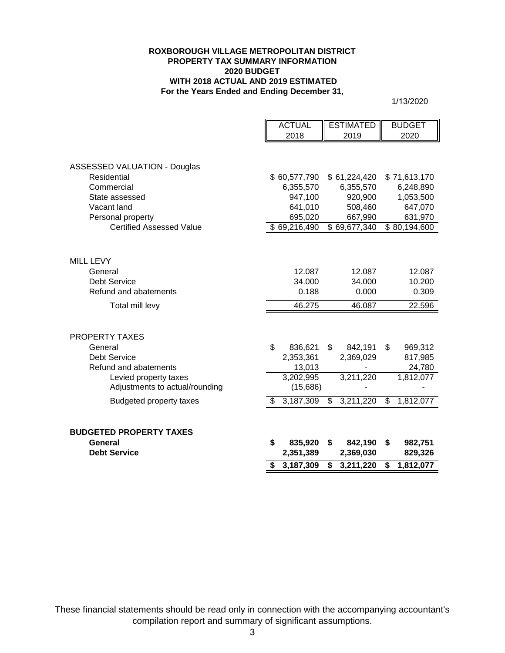### **ROXBOROUGH VILLAGE METROPOLITAN DISTRICT PROPERTY TAX SUMMARY INFORMATION 2020 BUDGET WITH 2018 ACTUAL AND 2019 ESTIMATED For the Years Ended and Ending December 31,**

1/13/2020

|                                     | <b>ACTUAL</b>            | <b>ESTIMATED</b> | <b>BUDGET</b>            |
|-------------------------------------|--------------------------|------------------|--------------------------|
|                                     | 2018                     | 2019             | 2020                     |
|                                     |                          |                  |                          |
| <b>ASSESSED VALUATION - Douglas</b> |                          |                  |                          |
| Residential                         | \$60,577,790             | \$61,224,420     | \$71,613,170             |
| Commercial                          | 6,355,570                | 6,355,570        | 6,248,890                |
| State assessed                      | 947,100                  | 920,900          | 1,053,500                |
| Vacant land                         | 641,010                  | 508,460          | 647,070                  |
| Personal property                   | 695,020                  | 667,990          | 631,970                  |
| <b>Certified Assessed Value</b>     | $\overline{$}69,216,490$ | \$69,677,340     | $\overline{$}80,194,600$ |
|                                     |                          |                  |                          |
| <b>MILL LEVY</b>                    |                          |                  |                          |
| General                             | 12.087                   | 12.087           | 12.087                   |
| <b>Debt Service</b>                 | 34.000                   | 34.000           | 10.200                   |
| Refund and abatements               | 0.188                    | 0.000            | 0.309                    |
| Total mill levy                     | 46.275                   | 46.087           | 22.596                   |
|                                     |                          |                  |                          |
| <b>PROPERTY TAXES</b>               |                          |                  |                          |
| General                             | \$<br>836,621            | \$<br>842,191    | \$<br>969,312            |
| <b>Debt Service</b>                 | 2,353,361                | 2,369,029        | 817,985                  |
| Refund and abatements               | 13,013                   |                  | 24,780                   |
| Levied property taxes               | 3,202,995                | 3,211,220        | 1,812,077                |
| Adjustments to actual/rounding      | (15,686)                 |                  |                          |
| <b>Budgeted property taxes</b>      | \$<br>3,187,309          | \$<br>3,211,220  | \$<br>1,812,077          |
|                                     |                          |                  |                          |
| <b>BUDGETED PROPERTY TAXES</b>      |                          |                  |                          |
| General                             | \$<br>835,920            | \$<br>842,190    | \$<br>982,751            |
| <b>Debt Service</b>                 | 2,351,389                | 2,369,030        | 829,326                  |
|                                     | 3,187,309                | \$<br>3,211,220  | \$<br>1,812,077          |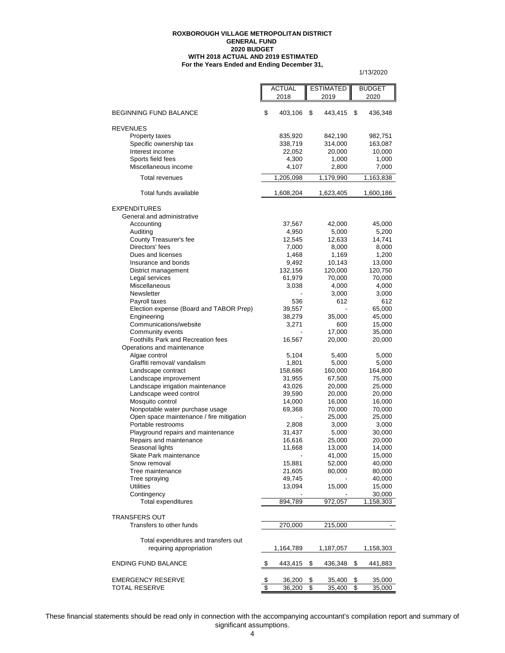#### **For the Years Ended and Ending December 31, ROXBOROUGH VILLAGE METROPOLITAN DISTRICT GENERAL FUND 2020 BUDGET WITH 2018 ACTUAL AND 2019 ESTIMATED**

 $\blacksquare$ 

1/13/2020

| \$<br><b>BEGINNING FUND BALANCE</b><br>403,106<br>\$<br>443,415<br>\$<br>436,348<br><b>REVENUES</b><br>835,920<br>842,190<br>982,751<br>Property taxes<br>Specific ownership tax<br>338,719<br>314,000<br>163,087<br>Interest income<br>22,052<br>20,000<br>10,000<br>Sports field fees<br>4,300<br>1,000<br>1,000<br>Miscellaneous income<br>4,107<br>2,800<br>7,000<br><b>Total revenues</b><br>1,205,098<br>1,179,990<br>1,163,838<br>Total funds available<br>1,608,204<br>1,623,405<br>1,600,186<br><b>EXPENDITURES</b><br>General and administrative<br>Accounting<br>37,567<br>42,000<br>45,000<br>Auditing<br>4,950<br>5,000<br>5,200<br>County Treasurer's fee<br>12,545<br>12,633<br>14,741<br>Directors' fees<br>7,000<br>8,000<br>8,000<br>Dues and licenses<br>1,169<br>1,200<br>1,468<br>9,492<br>10,143<br>Insurance and bonds<br>13,000<br>132,156<br>120,000<br>120,750<br>District management<br>Legal services<br>61,979<br>70,000<br>70,000<br>Miscellaneous<br>4,000<br>3,038<br>4,000<br>Newsletter<br>3,000<br>3,000<br>536<br>612<br>Payroll taxes<br>612<br>Election expense (Board and TABOR Prep)<br>39,557<br>65,000<br>Engineering<br>38,279<br>35,000<br>45,000<br>Communications/website<br>3,271<br>600<br>15,000<br>Community events<br>17,000<br>35,000<br>Foothills Park and Recreation fees<br>16,567<br>20,000<br>20,000<br>Operations and maintenance<br>Algae control<br>5,104<br>5,400<br>5,000<br>Graffiti removal/ vandalism<br>1,801<br>5,000<br>5,000<br>Landscape contract<br>158,686<br>160,000<br>164,800<br>Landscape improvement<br>67,500<br>31,955<br>75,000<br>Landscape irrigation maintenance<br>43,026<br>20,000<br>25,000<br>Landscape weed control<br>39,590<br>20,000<br>20,000<br>Mosquito control<br>14,000<br>16,000<br>16,000<br>Nonpotable water purchase usage<br>69,368<br>70,000<br>70,000<br>Open space maintenance / fire mitigation<br>25,000<br>25,000<br>Portable restrooms<br>2,808<br>3,000<br>3,000<br>Playground repairs and maintenance<br>31,437<br>5,000<br>30,000<br>Repairs and maintenance<br>16,616<br>25,000<br>20,000<br>Seasonal lights<br>13,000<br>11,668<br>14,000<br>Skate Park maintenance<br>41,000<br>15,000<br>Snow removal<br>15,881<br>40,000<br>52,000<br>Tree maintenance<br>21,605<br>80,000<br>80,000<br>Tree spraying<br>49,745<br>40,000<br><b>Utilities</b><br>13,094<br>15,000<br>15,000<br>Contingency<br>30,000<br>Total expenditures<br>894,789<br>972,057<br>1,158,303<br><b>TRANSFERS OUT</b><br>Transfers to other funds<br>270,000<br>215,000<br>Total expenditures and transfers out<br>requiring appropriation<br>1,164,789<br>1,187,057<br>1,158,303<br><b>ENDING FUND BALANCE</b><br>\$<br>443,415<br>\$<br>436,348<br>\$<br>441,883<br><b>EMERGENCY RESERVE</b><br>\$<br>36,200<br>\$<br>35,400<br>\$<br>35,000<br><b>TOTAL RESERVE</b><br>\$<br>36,200<br>\$<br>35,400<br>\$<br>35,000 |  | <b>ACTUAL</b> | <b>ESTIMATED</b> |      |  | <b>BUDGET</b> |  |
|------------------------------------------------------------------------------------------------------------------------------------------------------------------------------------------------------------------------------------------------------------------------------------------------------------------------------------------------------------------------------------------------------------------------------------------------------------------------------------------------------------------------------------------------------------------------------------------------------------------------------------------------------------------------------------------------------------------------------------------------------------------------------------------------------------------------------------------------------------------------------------------------------------------------------------------------------------------------------------------------------------------------------------------------------------------------------------------------------------------------------------------------------------------------------------------------------------------------------------------------------------------------------------------------------------------------------------------------------------------------------------------------------------------------------------------------------------------------------------------------------------------------------------------------------------------------------------------------------------------------------------------------------------------------------------------------------------------------------------------------------------------------------------------------------------------------------------------------------------------------------------------------------------------------------------------------------------------------------------------------------------------------------------------------------------------------------------------------------------------------------------------------------------------------------------------------------------------------------------------------------------------------------------------------------------------------------------------------------------------------------------------------------------------------------------------------------------------------------------------------------------------------------------------------------------------------------------------------------------------------------------------------------------------------------------------------------------------------------------------------------------------------------------------------------------------------------------------------------------------------------------------------------------|--|---------------|------------------|------|--|---------------|--|
|                                                                                                                                                                                                                                                                                                                                                                                                                                                                                                                                                                                                                                                                                                                                                                                                                                                                                                                                                                                                                                                                                                                                                                                                                                                                                                                                                                                                                                                                                                                                                                                                                                                                                                                                                                                                                                                                                                                                                                                                                                                                                                                                                                                                                                                                                                                                                                                                                                                                                                                                                                                                                                                                                                                                                                                                                                                                                                            |  | 2018          |                  | 2019 |  | 2020          |  |
|                                                                                                                                                                                                                                                                                                                                                                                                                                                                                                                                                                                                                                                                                                                                                                                                                                                                                                                                                                                                                                                                                                                                                                                                                                                                                                                                                                                                                                                                                                                                                                                                                                                                                                                                                                                                                                                                                                                                                                                                                                                                                                                                                                                                                                                                                                                                                                                                                                                                                                                                                                                                                                                                                                                                                                                                                                                                                                            |  |               |                  |      |  |               |  |
|                                                                                                                                                                                                                                                                                                                                                                                                                                                                                                                                                                                                                                                                                                                                                                                                                                                                                                                                                                                                                                                                                                                                                                                                                                                                                                                                                                                                                                                                                                                                                                                                                                                                                                                                                                                                                                                                                                                                                                                                                                                                                                                                                                                                                                                                                                                                                                                                                                                                                                                                                                                                                                                                                                                                                                                                                                                                                                            |  |               |                  |      |  |               |  |
|                                                                                                                                                                                                                                                                                                                                                                                                                                                                                                                                                                                                                                                                                                                                                                                                                                                                                                                                                                                                                                                                                                                                                                                                                                                                                                                                                                                                                                                                                                                                                                                                                                                                                                                                                                                                                                                                                                                                                                                                                                                                                                                                                                                                                                                                                                                                                                                                                                                                                                                                                                                                                                                                                                                                                                                                                                                                                                            |  |               |                  |      |  |               |  |
|                                                                                                                                                                                                                                                                                                                                                                                                                                                                                                                                                                                                                                                                                                                                                                                                                                                                                                                                                                                                                                                                                                                                                                                                                                                                                                                                                                                                                                                                                                                                                                                                                                                                                                                                                                                                                                                                                                                                                                                                                                                                                                                                                                                                                                                                                                                                                                                                                                                                                                                                                                                                                                                                                                                                                                                                                                                                                                            |  |               |                  |      |  |               |  |
|                                                                                                                                                                                                                                                                                                                                                                                                                                                                                                                                                                                                                                                                                                                                                                                                                                                                                                                                                                                                                                                                                                                                                                                                                                                                                                                                                                                                                                                                                                                                                                                                                                                                                                                                                                                                                                                                                                                                                                                                                                                                                                                                                                                                                                                                                                                                                                                                                                                                                                                                                                                                                                                                                                                                                                                                                                                                                                            |  |               |                  |      |  |               |  |
|                                                                                                                                                                                                                                                                                                                                                                                                                                                                                                                                                                                                                                                                                                                                                                                                                                                                                                                                                                                                                                                                                                                                                                                                                                                                                                                                                                                                                                                                                                                                                                                                                                                                                                                                                                                                                                                                                                                                                                                                                                                                                                                                                                                                                                                                                                                                                                                                                                                                                                                                                                                                                                                                                                                                                                                                                                                                                                            |  |               |                  |      |  |               |  |
|                                                                                                                                                                                                                                                                                                                                                                                                                                                                                                                                                                                                                                                                                                                                                                                                                                                                                                                                                                                                                                                                                                                                                                                                                                                                                                                                                                                                                                                                                                                                                                                                                                                                                                                                                                                                                                                                                                                                                                                                                                                                                                                                                                                                                                                                                                                                                                                                                                                                                                                                                                                                                                                                                                                                                                                                                                                                                                            |  |               |                  |      |  |               |  |
|                                                                                                                                                                                                                                                                                                                                                                                                                                                                                                                                                                                                                                                                                                                                                                                                                                                                                                                                                                                                                                                                                                                                                                                                                                                                                                                                                                                                                                                                                                                                                                                                                                                                                                                                                                                                                                                                                                                                                                                                                                                                                                                                                                                                                                                                                                                                                                                                                                                                                                                                                                                                                                                                                                                                                                                                                                                                                                            |  |               |                  |      |  |               |  |
|                                                                                                                                                                                                                                                                                                                                                                                                                                                                                                                                                                                                                                                                                                                                                                                                                                                                                                                                                                                                                                                                                                                                                                                                                                                                                                                                                                                                                                                                                                                                                                                                                                                                                                                                                                                                                                                                                                                                                                                                                                                                                                                                                                                                                                                                                                                                                                                                                                                                                                                                                                                                                                                                                                                                                                                                                                                                                                            |  |               |                  |      |  |               |  |
|                                                                                                                                                                                                                                                                                                                                                                                                                                                                                                                                                                                                                                                                                                                                                                                                                                                                                                                                                                                                                                                                                                                                                                                                                                                                                                                                                                                                                                                                                                                                                                                                                                                                                                                                                                                                                                                                                                                                                                                                                                                                                                                                                                                                                                                                                                                                                                                                                                                                                                                                                                                                                                                                                                                                                                                                                                                                                                            |  |               |                  |      |  |               |  |
|                                                                                                                                                                                                                                                                                                                                                                                                                                                                                                                                                                                                                                                                                                                                                                                                                                                                                                                                                                                                                                                                                                                                                                                                                                                                                                                                                                                                                                                                                                                                                                                                                                                                                                                                                                                                                                                                                                                                                                                                                                                                                                                                                                                                                                                                                                                                                                                                                                                                                                                                                                                                                                                                                                                                                                                                                                                                                                            |  |               |                  |      |  |               |  |
|                                                                                                                                                                                                                                                                                                                                                                                                                                                                                                                                                                                                                                                                                                                                                                                                                                                                                                                                                                                                                                                                                                                                                                                                                                                                                                                                                                                                                                                                                                                                                                                                                                                                                                                                                                                                                                                                                                                                                                                                                                                                                                                                                                                                                                                                                                                                                                                                                                                                                                                                                                                                                                                                                                                                                                                                                                                                                                            |  |               |                  |      |  |               |  |
|                                                                                                                                                                                                                                                                                                                                                                                                                                                                                                                                                                                                                                                                                                                                                                                                                                                                                                                                                                                                                                                                                                                                                                                                                                                                                                                                                                                                                                                                                                                                                                                                                                                                                                                                                                                                                                                                                                                                                                                                                                                                                                                                                                                                                                                                                                                                                                                                                                                                                                                                                                                                                                                                                                                                                                                                                                                                                                            |  |               |                  |      |  |               |  |
|                                                                                                                                                                                                                                                                                                                                                                                                                                                                                                                                                                                                                                                                                                                                                                                                                                                                                                                                                                                                                                                                                                                                                                                                                                                                                                                                                                                                                                                                                                                                                                                                                                                                                                                                                                                                                                                                                                                                                                                                                                                                                                                                                                                                                                                                                                                                                                                                                                                                                                                                                                                                                                                                                                                                                                                                                                                                                                            |  |               |                  |      |  |               |  |
|                                                                                                                                                                                                                                                                                                                                                                                                                                                                                                                                                                                                                                                                                                                                                                                                                                                                                                                                                                                                                                                                                                                                                                                                                                                                                                                                                                                                                                                                                                                                                                                                                                                                                                                                                                                                                                                                                                                                                                                                                                                                                                                                                                                                                                                                                                                                                                                                                                                                                                                                                                                                                                                                                                                                                                                                                                                                                                            |  |               |                  |      |  |               |  |
|                                                                                                                                                                                                                                                                                                                                                                                                                                                                                                                                                                                                                                                                                                                                                                                                                                                                                                                                                                                                                                                                                                                                                                                                                                                                                                                                                                                                                                                                                                                                                                                                                                                                                                                                                                                                                                                                                                                                                                                                                                                                                                                                                                                                                                                                                                                                                                                                                                                                                                                                                                                                                                                                                                                                                                                                                                                                                                            |  |               |                  |      |  |               |  |
|                                                                                                                                                                                                                                                                                                                                                                                                                                                                                                                                                                                                                                                                                                                                                                                                                                                                                                                                                                                                                                                                                                                                                                                                                                                                                                                                                                                                                                                                                                                                                                                                                                                                                                                                                                                                                                                                                                                                                                                                                                                                                                                                                                                                                                                                                                                                                                                                                                                                                                                                                                                                                                                                                                                                                                                                                                                                                                            |  |               |                  |      |  |               |  |
|                                                                                                                                                                                                                                                                                                                                                                                                                                                                                                                                                                                                                                                                                                                                                                                                                                                                                                                                                                                                                                                                                                                                                                                                                                                                                                                                                                                                                                                                                                                                                                                                                                                                                                                                                                                                                                                                                                                                                                                                                                                                                                                                                                                                                                                                                                                                                                                                                                                                                                                                                                                                                                                                                                                                                                                                                                                                                                            |  |               |                  |      |  |               |  |
|                                                                                                                                                                                                                                                                                                                                                                                                                                                                                                                                                                                                                                                                                                                                                                                                                                                                                                                                                                                                                                                                                                                                                                                                                                                                                                                                                                                                                                                                                                                                                                                                                                                                                                                                                                                                                                                                                                                                                                                                                                                                                                                                                                                                                                                                                                                                                                                                                                                                                                                                                                                                                                                                                                                                                                                                                                                                                                            |  |               |                  |      |  |               |  |
|                                                                                                                                                                                                                                                                                                                                                                                                                                                                                                                                                                                                                                                                                                                                                                                                                                                                                                                                                                                                                                                                                                                                                                                                                                                                                                                                                                                                                                                                                                                                                                                                                                                                                                                                                                                                                                                                                                                                                                                                                                                                                                                                                                                                                                                                                                                                                                                                                                                                                                                                                                                                                                                                                                                                                                                                                                                                                                            |  |               |                  |      |  |               |  |
|                                                                                                                                                                                                                                                                                                                                                                                                                                                                                                                                                                                                                                                                                                                                                                                                                                                                                                                                                                                                                                                                                                                                                                                                                                                                                                                                                                                                                                                                                                                                                                                                                                                                                                                                                                                                                                                                                                                                                                                                                                                                                                                                                                                                                                                                                                                                                                                                                                                                                                                                                                                                                                                                                                                                                                                                                                                                                                            |  |               |                  |      |  |               |  |
|                                                                                                                                                                                                                                                                                                                                                                                                                                                                                                                                                                                                                                                                                                                                                                                                                                                                                                                                                                                                                                                                                                                                                                                                                                                                                                                                                                                                                                                                                                                                                                                                                                                                                                                                                                                                                                                                                                                                                                                                                                                                                                                                                                                                                                                                                                                                                                                                                                                                                                                                                                                                                                                                                                                                                                                                                                                                                                            |  |               |                  |      |  |               |  |
|                                                                                                                                                                                                                                                                                                                                                                                                                                                                                                                                                                                                                                                                                                                                                                                                                                                                                                                                                                                                                                                                                                                                                                                                                                                                                                                                                                                                                                                                                                                                                                                                                                                                                                                                                                                                                                                                                                                                                                                                                                                                                                                                                                                                                                                                                                                                                                                                                                                                                                                                                                                                                                                                                                                                                                                                                                                                                                            |  |               |                  |      |  |               |  |
|                                                                                                                                                                                                                                                                                                                                                                                                                                                                                                                                                                                                                                                                                                                                                                                                                                                                                                                                                                                                                                                                                                                                                                                                                                                                                                                                                                                                                                                                                                                                                                                                                                                                                                                                                                                                                                                                                                                                                                                                                                                                                                                                                                                                                                                                                                                                                                                                                                                                                                                                                                                                                                                                                                                                                                                                                                                                                                            |  |               |                  |      |  |               |  |
|                                                                                                                                                                                                                                                                                                                                                                                                                                                                                                                                                                                                                                                                                                                                                                                                                                                                                                                                                                                                                                                                                                                                                                                                                                                                                                                                                                                                                                                                                                                                                                                                                                                                                                                                                                                                                                                                                                                                                                                                                                                                                                                                                                                                                                                                                                                                                                                                                                                                                                                                                                                                                                                                                                                                                                                                                                                                                                            |  |               |                  |      |  |               |  |
|                                                                                                                                                                                                                                                                                                                                                                                                                                                                                                                                                                                                                                                                                                                                                                                                                                                                                                                                                                                                                                                                                                                                                                                                                                                                                                                                                                                                                                                                                                                                                                                                                                                                                                                                                                                                                                                                                                                                                                                                                                                                                                                                                                                                                                                                                                                                                                                                                                                                                                                                                                                                                                                                                                                                                                                                                                                                                                            |  |               |                  |      |  |               |  |
|                                                                                                                                                                                                                                                                                                                                                                                                                                                                                                                                                                                                                                                                                                                                                                                                                                                                                                                                                                                                                                                                                                                                                                                                                                                                                                                                                                                                                                                                                                                                                                                                                                                                                                                                                                                                                                                                                                                                                                                                                                                                                                                                                                                                                                                                                                                                                                                                                                                                                                                                                                                                                                                                                                                                                                                                                                                                                                            |  |               |                  |      |  |               |  |
|                                                                                                                                                                                                                                                                                                                                                                                                                                                                                                                                                                                                                                                                                                                                                                                                                                                                                                                                                                                                                                                                                                                                                                                                                                                                                                                                                                                                                                                                                                                                                                                                                                                                                                                                                                                                                                                                                                                                                                                                                                                                                                                                                                                                                                                                                                                                                                                                                                                                                                                                                                                                                                                                                                                                                                                                                                                                                                            |  |               |                  |      |  |               |  |
|                                                                                                                                                                                                                                                                                                                                                                                                                                                                                                                                                                                                                                                                                                                                                                                                                                                                                                                                                                                                                                                                                                                                                                                                                                                                                                                                                                                                                                                                                                                                                                                                                                                                                                                                                                                                                                                                                                                                                                                                                                                                                                                                                                                                                                                                                                                                                                                                                                                                                                                                                                                                                                                                                                                                                                                                                                                                                                            |  |               |                  |      |  |               |  |
|                                                                                                                                                                                                                                                                                                                                                                                                                                                                                                                                                                                                                                                                                                                                                                                                                                                                                                                                                                                                                                                                                                                                                                                                                                                                                                                                                                                                                                                                                                                                                                                                                                                                                                                                                                                                                                                                                                                                                                                                                                                                                                                                                                                                                                                                                                                                                                                                                                                                                                                                                                                                                                                                                                                                                                                                                                                                                                            |  |               |                  |      |  |               |  |
|                                                                                                                                                                                                                                                                                                                                                                                                                                                                                                                                                                                                                                                                                                                                                                                                                                                                                                                                                                                                                                                                                                                                                                                                                                                                                                                                                                                                                                                                                                                                                                                                                                                                                                                                                                                                                                                                                                                                                                                                                                                                                                                                                                                                                                                                                                                                                                                                                                                                                                                                                                                                                                                                                                                                                                                                                                                                                                            |  |               |                  |      |  |               |  |
|                                                                                                                                                                                                                                                                                                                                                                                                                                                                                                                                                                                                                                                                                                                                                                                                                                                                                                                                                                                                                                                                                                                                                                                                                                                                                                                                                                                                                                                                                                                                                                                                                                                                                                                                                                                                                                                                                                                                                                                                                                                                                                                                                                                                                                                                                                                                                                                                                                                                                                                                                                                                                                                                                                                                                                                                                                                                                                            |  |               |                  |      |  |               |  |
|                                                                                                                                                                                                                                                                                                                                                                                                                                                                                                                                                                                                                                                                                                                                                                                                                                                                                                                                                                                                                                                                                                                                                                                                                                                                                                                                                                                                                                                                                                                                                                                                                                                                                                                                                                                                                                                                                                                                                                                                                                                                                                                                                                                                                                                                                                                                                                                                                                                                                                                                                                                                                                                                                                                                                                                                                                                                                                            |  |               |                  |      |  |               |  |
|                                                                                                                                                                                                                                                                                                                                                                                                                                                                                                                                                                                                                                                                                                                                                                                                                                                                                                                                                                                                                                                                                                                                                                                                                                                                                                                                                                                                                                                                                                                                                                                                                                                                                                                                                                                                                                                                                                                                                                                                                                                                                                                                                                                                                                                                                                                                                                                                                                                                                                                                                                                                                                                                                                                                                                                                                                                                                                            |  |               |                  |      |  |               |  |
|                                                                                                                                                                                                                                                                                                                                                                                                                                                                                                                                                                                                                                                                                                                                                                                                                                                                                                                                                                                                                                                                                                                                                                                                                                                                                                                                                                                                                                                                                                                                                                                                                                                                                                                                                                                                                                                                                                                                                                                                                                                                                                                                                                                                                                                                                                                                                                                                                                                                                                                                                                                                                                                                                                                                                                                                                                                                                                            |  |               |                  |      |  |               |  |
|                                                                                                                                                                                                                                                                                                                                                                                                                                                                                                                                                                                                                                                                                                                                                                                                                                                                                                                                                                                                                                                                                                                                                                                                                                                                                                                                                                                                                                                                                                                                                                                                                                                                                                                                                                                                                                                                                                                                                                                                                                                                                                                                                                                                                                                                                                                                                                                                                                                                                                                                                                                                                                                                                                                                                                                                                                                                                                            |  |               |                  |      |  |               |  |
|                                                                                                                                                                                                                                                                                                                                                                                                                                                                                                                                                                                                                                                                                                                                                                                                                                                                                                                                                                                                                                                                                                                                                                                                                                                                                                                                                                                                                                                                                                                                                                                                                                                                                                                                                                                                                                                                                                                                                                                                                                                                                                                                                                                                                                                                                                                                                                                                                                                                                                                                                                                                                                                                                                                                                                                                                                                                                                            |  |               |                  |      |  |               |  |
|                                                                                                                                                                                                                                                                                                                                                                                                                                                                                                                                                                                                                                                                                                                                                                                                                                                                                                                                                                                                                                                                                                                                                                                                                                                                                                                                                                                                                                                                                                                                                                                                                                                                                                                                                                                                                                                                                                                                                                                                                                                                                                                                                                                                                                                                                                                                                                                                                                                                                                                                                                                                                                                                                                                                                                                                                                                                                                            |  |               |                  |      |  |               |  |
|                                                                                                                                                                                                                                                                                                                                                                                                                                                                                                                                                                                                                                                                                                                                                                                                                                                                                                                                                                                                                                                                                                                                                                                                                                                                                                                                                                                                                                                                                                                                                                                                                                                                                                                                                                                                                                                                                                                                                                                                                                                                                                                                                                                                                                                                                                                                                                                                                                                                                                                                                                                                                                                                                                                                                                                                                                                                                                            |  |               |                  |      |  |               |  |
|                                                                                                                                                                                                                                                                                                                                                                                                                                                                                                                                                                                                                                                                                                                                                                                                                                                                                                                                                                                                                                                                                                                                                                                                                                                                                                                                                                                                                                                                                                                                                                                                                                                                                                                                                                                                                                                                                                                                                                                                                                                                                                                                                                                                                                                                                                                                                                                                                                                                                                                                                                                                                                                                                                                                                                                                                                                                                                            |  |               |                  |      |  |               |  |
|                                                                                                                                                                                                                                                                                                                                                                                                                                                                                                                                                                                                                                                                                                                                                                                                                                                                                                                                                                                                                                                                                                                                                                                                                                                                                                                                                                                                                                                                                                                                                                                                                                                                                                                                                                                                                                                                                                                                                                                                                                                                                                                                                                                                                                                                                                                                                                                                                                                                                                                                                                                                                                                                                                                                                                                                                                                                                                            |  |               |                  |      |  |               |  |
|                                                                                                                                                                                                                                                                                                                                                                                                                                                                                                                                                                                                                                                                                                                                                                                                                                                                                                                                                                                                                                                                                                                                                                                                                                                                                                                                                                                                                                                                                                                                                                                                                                                                                                                                                                                                                                                                                                                                                                                                                                                                                                                                                                                                                                                                                                                                                                                                                                                                                                                                                                                                                                                                                                                                                                                                                                                                                                            |  |               |                  |      |  |               |  |
|                                                                                                                                                                                                                                                                                                                                                                                                                                                                                                                                                                                                                                                                                                                                                                                                                                                                                                                                                                                                                                                                                                                                                                                                                                                                                                                                                                                                                                                                                                                                                                                                                                                                                                                                                                                                                                                                                                                                                                                                                                                                                                                                                                                                                                                                                                                                                                                                                                                                                                                                                                                                                                                                                                                                                                                                                                                                                                            |  |               |                  |      |  |               |  |
|                                                                                                                                                                                                                                                                                                                                                                                                                                                                                                                                                                                                                                                                                                                                                                                                                                                                                                                                                                                                                                                                                                                                                                                                                                                                                                                                                                                                                                                                                                                                                                                                                                                                                                                                                                                                                                                                                                                                                                                                                                                                                                                                                                                                                                                                                                                                                                                                                                                                                                                                                                                                                                                                                                                                                                                                                                                                                                            |  |               |                  |      |  |               |  |
|                                                                                                                                                                                                                                                                                                                                                                                                                                                                                                                                                                                                                                                                                                                                                                                                                                                                                                                                                                                                                                                                                                                                                                                                                                                                                                                                                                                                                                                                                                                                                                                                                                                                                                                                                                                                                                                                                                                                                                                                                                                                                                                                                                                                                                                                                                                                                                                                                                                                                                                                                                                                                                                                                                                                                                                                                                                                                                            |  |               |                  |      |  |               |  |
|                                                                                                                                                                                                                                                                                                                                                                                                                                                                                                                                                                                                                                                                                                                                                                                                                                                                                                                                                                                                                                                                                                                                                                                                                                                                                                                                                                                                                                                                                                                                                                                                                                                                                                                                                                                                                                                                                                                                                                                                                                                                                                                                                                                                                                                                                                                                                                                                                                                                                                                                                                                                                                                                                                                                                                                                                                                                                                            |  |               |                  |      |  |               |  |
|                                                                                                                                                                                                                                                                                                                                                                                                                                                                                                                                                                                                                                                                                                                                                                                                                                                                                                                                                                                                                                                                                                                                                                                                                                                                                                                                                                                                                                                                                                                                                                                                                                                                                                                                                                                                                                                                                                                                                                                                                                                                                                                                                                                                                                                                                                                                                                                                                                                                                                                                                                                                                                                                                                                                                                                                                                                                                                            |  |               |                  |      |  |               |  |
|                                                                                                                                                                                                                                                                                                                                                                                                                                                                                                                                                                                                                                                                                                                                                                                                                                                                                                                                                                                                                                                                                                                                                                                                                                                                                                                                                                                                                                                                                                                                                                                                                                                                                                                                                                                                                                                                                                                                                                                                                                                                                                                                                                                                                                                                                                                                                                                                                                                                                                                                                                                                                                                                                                                                                                                                                                                                                                            |  |               |                  |      |  |               |  |
|                                                                                                                                                                                                                                                                                                                                                                                                                                                                                                                                                                                                                                                                                                                                                                                                                                                                                                                                                                                                                                                                                                                                                                                                                                                                                                                                                                                                                                                                                                                                                                                                                                                                                                                                                                                                                                                                                                                                                                                                                                                                                                                                                                                                                                                                                                                                                                                                                                                                                                                                                                                                                                                                                                                                                                                                                                                                                                            |  |               |                  |      |  |               |  |
|                                                                                                                                                                                                                                                                                                                                                                                                                                                                                                                                                                                                                                                                                                                                                                                                                                                                                                                                                                                                                                                                                                                                                                                                                                                                                                                                                                                                                                                                                                                                                                                                                                                                                                                                                                                                                                                                                                                                                                                                                                                                                                                                                                                                                                                                                                                                                                                                                                                                                                                                                                                                                                                                                                                                                                                                                                                                                                            |  |               |                  |      |  |               |  |
|                                                                                                                                                                                                                                                                                                                                                                                                                                                                                                                                                                                                                                                                                                                                                                                                                                                                                                                                                                                                                                                                                                                                                                                                                                                                                                                                                                                                                                                                                                                                                                                                                                                                                                                                                                                                                                                                                                                                                                                                                                                                                                                                                                                                                                                                                                                                                                                                                                                                                                                                                                                                                                                                                                                                                                                                                                                                                                            |  |               |                  |      |  |               |  |
|                                                                                                                                                                                                                                                                                                                                                                                                                                                                                                                                                                                                                                                                                                                                                                                                                                                                                                                                                                                                                                                                                                                                                                                                                                                                                                                                                                                                                                                                                                                                                                                                                                                                                                                                                                                                                                                                                                                                                                                                                                                                                                                                                                                                                                                                                                                                                                                                                                                                                                                                                                                                                                                                                                                                                                                                                                                                                                            |  |               |                  |      |  |               |  |
|                                                                                                                                                                                                                                                                                                                                                                                                                                                                                                                                                                                                                                                                                                                                                                                                                                                                                                                                                                                                                                                                                                                                                                                                                                                                                                                                                                                                                                                                                                                                                                                                                                                                                                                                                                                                                                                                                                                                                                                                                                                                                                                                                                                                                                                                                                                                                                                                                                                                                                                                                                                                                                                                                                                                                                                                                                                                                                            |  |               |                  |      |  |               |  |
|                                                                                                                                                                                                                                                                                                                                                                                                                                                                                                                                                                                                                                                                                                                                                                                                                                                                                                                                                                                                                                                                                                                                                                                                                                                                                                                                                                                                                                                                                                                                                                                                                                                                                                                                                                                                                                                                                                                                                                                                                                                                                                                                                                                                                                                                                                                                                                                                                                                                                                                                                                                                                                                                                                                                                                                                                                                                                                            |  |               |                  |      |  |               |  |
|                                                                                                                                                                                                                                                                                                                                                                                                                                                                                                                                                                                                                                                                                                                                                                                                                                                                                                                                                                                                                                                                                                                                                                                                                                                                                                                                                                                                                                                                                                                                                                                                                                                                                                                                                                                                                                                                                                                                                                                                                                                                                                                                                                                                                                                                                                                                                                                                                                                                                                                                                                                                                                                                                                                                                                                                                                                                                                            |  |               |                  |      |  |               |  |
|                                                                                                                                                                                                                                                                                                                                                                                                                                                                                                                                                                                                                                                                                                                                                                                                                                                                                                                                                                                                                                                                                                                                                                                                                                                                                                                                                                                                                                                                                                                                                                                                                                                                                                                                                                                                                                                                                                                                                                                                                                                                                                                                                                                                                                                                                                                                                                                                                                                                                                                                                                                                                                                                                                                                                                                                                                                                                                            |  |               |                  |      |  |               |  |
|                                                                                                                                                                                                                                                                                                                                                                                                                                                                                                                                                                                                                                                                                                                                                                                                                                                                                                                                                                                                                                                                                                                                                                                                                                                                                                                                                                                                                                                                                                                                                                                                                                                                                                                                                                                                                                                                                                                                                                                                                                                                                                                                                                                                                                                                                                                                                                                                                                                                                                                                                                                                                                                                                                                                                                                                                                                                                                            |  |               |                  |      |  |               |  |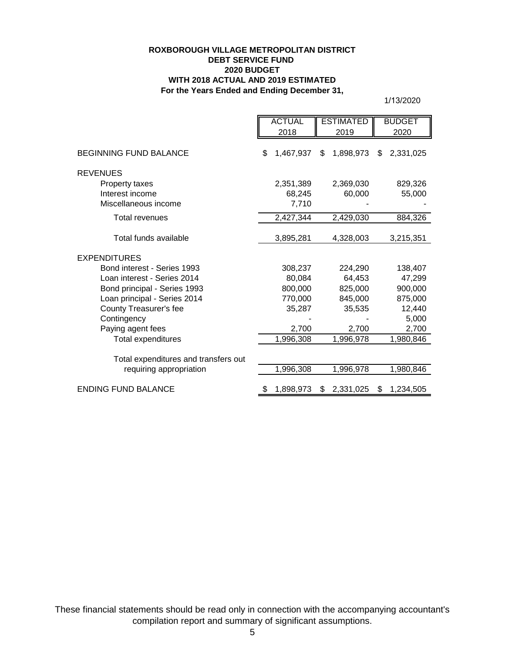### **ROXBOROUGH VILLAGE METROPOLITAN DISTRICT DEBT SERVICE FUND 2020 BUDGET WITH 2018 ACTUAL AND 2019 ESTIMATED For the Years Ended and Ending December 31,**

1/13/2020

|                                      |  | <b>ACTUAL</b> |     | <b>ESTIMATED</b> | <b>BUDGET</b> |           |
|--------------------------------------|--|---------------|-----|------------------|---------------|-----------|
|                                      |  | 2018          |     | 2019             |               | 2020      |
| <b>BEGINNING FUND BALANCE</b>        |  | 1,467,937     | \$  | 1,898,973        | \$            | 2,331,025 |
| <b>REVENUES</b>                      |  |               |     |                  |               |           |
| Property taxes                       |  | 2,351,389     |     | 2,369,030        |               | 829,326   |
| Interest income                      |  | 68,245        |     | 60,000           |               | 55,000    |
| Miscellaneous income                 |  | 7,710         |     |                  |               |           |
| <b>Total revenues</b>                |  | 2,427,344     |     | 2,429,030        |               | 884,326   |
| Total funds available                |  | 3,895,281     |     | 4,328,003        |               | 3,215,351 |
| <b>EXPENDITURES</b>                  |  |               |     |                  |               |           |
| Bond interest - Series 1993          |  | 308,237       |     | 224,290          |               | 138,407   |
| Loan interest - Series 2014          |  | 80,084        |     | 64,453           |               | 47,299    |
| Bond principal - Series 1993         |  | 800,000       |     | 825,000          |               | 900,000   |
| Loan principal - Series 2014         |  | 770,000       |     | 845,000          |               | 875,000   |
| County Treasurer's fee               |  | 35,287        |     | 35,535           |               | 12,440    |
| Contingency                          |  |               |     |                  |               | 5,000     |
| Paying agent fees                    |  | 2,700         |     | 2,700            |               | 2,700     |
| Total expenditures                   |  | 1,996,308     |     | 1,996,978        |               | 1,980,846 |
| Total expenditures and transfers out |  |               |     |                  |               |           |
| requiring appropriation              |  | 1,996,308     |     | 1,996,978        |               | 1,980,846 |
| <b>ENDING FUND BALANCE</b>           |  | 1,898,973     | \$. | 2,331,025        | \$            | 1,234,505 |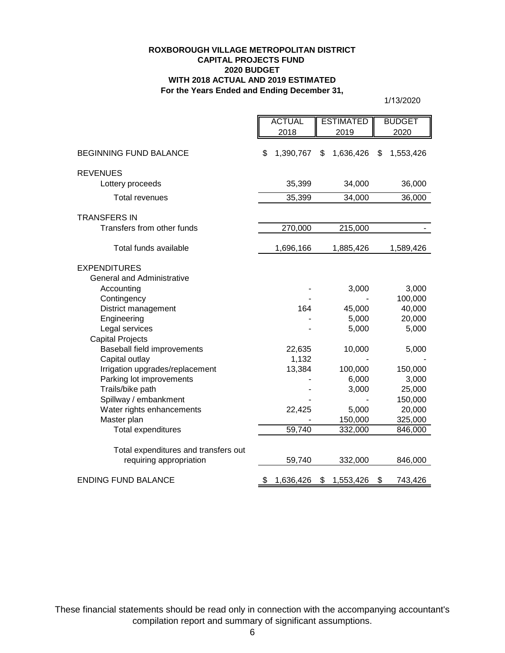#### **ROXBOROUGH VILLAGE METROPOLITAN DISTRICT CAPITAL PROJECTS FUND 2020 BUDGET WITH 2018 ACTUAL AND 2019 ESTIMATED For the Years Ended and Ending December 31,**

1/13/2020

|                                      | <b>ACTUAL</b><br><b>ESTIMATED</b> |                 | <b>BUDGET</b>   |  |
|--------------------------------------|-----------------------------------|-----------------|-----------------|--|
|                                      | 2018                              | 2019            |                 |  |
|                                      |                                   |                 |                 |  |
| <b>BEGINNING FUND BALANCE</b>        | \$<br>1,390,767                   | 1,636,426<br>\$ | 1,553,426<br>\$ |  |
| <b>REVENUES</b>                      |                                   |                 |                 |  |
| Lottery proceeds                     | 35,399                            | 34,000          | 36,000          |  |
| <b>Total revenues</b>                | 35,399                            | 34,000          | 36,000          |  |
| <b>TRANSFERS IN</b>                  |                                   |                 |                 |  |
| Transfers from other funds           | 270,000                           | 215,000         |                 |  |
| Total funds available                | 1,696,166                         | 1,885,426       | 1,589,426       |  |
| <b>EXPENDITURES</b>                  |                                   |                 |                 |  |
| <b>General and Administrative</b>    |                                   |                 |                 |  |
| Accounting                           |                                   | 3,000           | 3,000           |  |
| Contingency                          |                                   |                 | 100,000         |  |
| District management                  | 164                               | 45,000          | 40,000          |  |
| Engineering                          |                                   | 5,000           | 20,000          |  |
| Legal services                       |                                   | 5,000           | 5,000           |  |
| <b>Capital Projects</b>              |                                   |                 |                 |  |
| Baseball field improvements          | 22,635                            | 10,000          | 5,000           |  |
| Capital outlay                       | 1,132                             |                 |                 |  |
| Irrigation upgrades/replacement      | 13,384                            | 100,000         | 150,000         |  |
| Parking lot improvements             |                                   | 6,000           | 3,000           |  |
| Trails/bike path                     |                                   | 3,000           | 25,000          |  |
| Spillway / embankment                |                                   |                 | 150,000         |  |
| Water rights enhancements            | 22,425                            | 5,000           | 20,000          |  |
| Master plan                          |                                   | 150,000         | 325,000         |  |
| Total expenditures                   | 59,740                            | 332,000         | 846,000         |  |
| Total expenditures and transfers out |                                   |                 |                 |  |
| requiring appropriation              | 59,740                            | 332,000         | 846,000         |  |
| <b>ENDING FUND BALANCE</b>           | \$<br>1,636,426                   | \$<br>1,553,426 | \$<br>743,426   |  |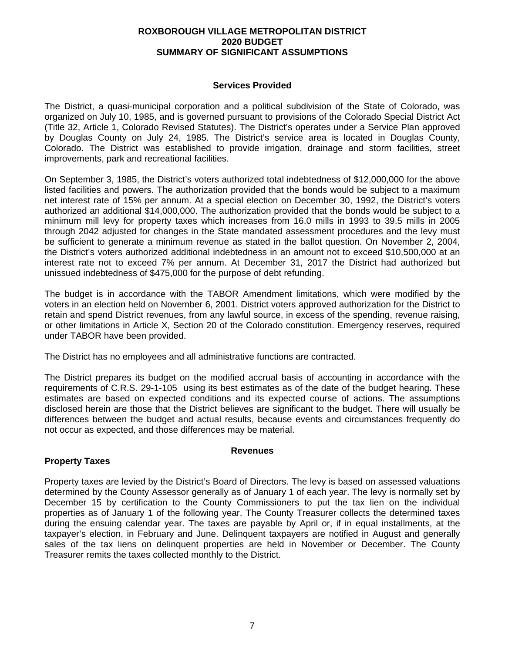### **ROXBOROUGH VILLAGE METROPOLITAN DISTRICT 2020 BUDGET SUMMARY OF SIGNIFICANT ASSUMPTIONS**

### **Services Provided**

The District, a quasi-municipal corporation and a political subdivision of the State of Colorado, was organized on July 10, 1985, and is governed pursuant to provisions of the Colorado Special District Act (Title 32, Article 1, Colorado Revised Statutes). The District's operates under a Service Plan approved by Douglas County on July 24, 1985. The District's service area is located in Douglas County, Colorado. The District was established to provide irrigation, drainage and storm facilities, street improvements, park and recreational facilities.

On September 3, 1985, the District's voters authorized total indebtedness of \$12,000,000 for the above listed facilities and powers. The authorization provided that the bonds would be subject to a maximum net interest rate of 15% per annum. At a special election on December 30, 1992, the District's voters authorized an additional \$14,000,000. The authorization provided that the bonds would be subject to a minimum mill levy for property taxes which increases from 16.0 mills in 1993 to 39.5 mills in 2005 through 2042 adjusted for changes in the State mandated assessment procedures and the levy must be sufficient to generate a minimum revenue as stated in the ballot question. On November 2, 2004, the District's voters authorized additional indebtedness in an amount not to exceed \$10,500,000 at an interest rate not to exceed 7% per annum. At December 31, 2017 the District had authorized but unissued indebtedness of \$475,000 for the purpose of debt refunding.

The budget is in accordance with the TABOR Amendment limitations, which were modified by the voters in an election held on November 6, 2001. District voters approved authorization for the District to retain and spend District revenues, from any lawful source, in excess of the spending, revenue raising, or other limitations in Article X, Section 20 of the Colorado constitution. Emergency reserves, required under TABOR have been provided.

The District has no employees and all administrative functions are contracted.

The District prepares its budget on the modified accrual basis of accounting in accordance with the requirements of C.R.S. 29-1-105 using its best estimates as of the date of the budget hearing. These estimates are based on expected conditions and its expected course of actions. The assumptions disclosed herein are those that the District believes are significant to the budget. There will usually be differences between the budget and actual results, because events and circumstances frequently do not occur as expected, and those differences may be material.

### **Revenues**

# **Property Taxes**

Property taxes are levied by the District's Board of Directors. The levy is based on assessed valuations determined by the County Assessor generally as of January 1 of each year. The levy is normally set by December 15 by certification to the County Commissioners to put the tax lien on the individual properties as of January 1 of the following year. The County Treasurer collects the determined taxes during the ensuing calendar year. The taxes are payable by April or, if in equal installments, at the taxpayer's election, in February and June. Delinquent taxpayers are notified in August and generally sales of the tax liens on delinquent properties are held in November or December. The County Treasurer remits the taxes collected monthly to the District.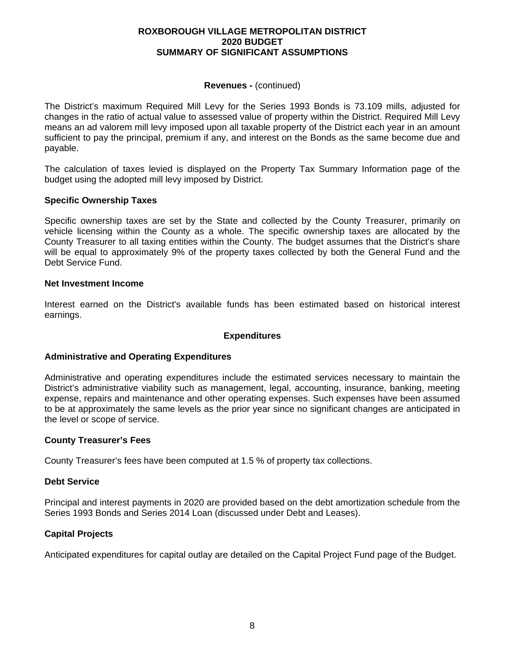### **ROXBOROUGH VILLAGE METROPOLITAN DISTRICT 2020 BUDGET SUMMARY OF SIGNIFICANT ASSUMPTIONS**

### **Revenues -** (continued)

The District's maximum Required Mill Levy for the Series 1993 Bonds is 73.109 mills, adjusted for changes in the ratio of actual value to assessed value of property within the District. Required Mill Levy means an ad valorem mill levy imposed upon all taxable property of the District each year in an amount sufficient to pay the principal, premium if any, and interest on the Bonds as the same become due and payable.

The calculation of taxes levied is displayed on the Property Tax Summary Information page of the budget using the adopted mill levy imposed by District.

### **Specific Ownership Taxes**

Specific ownership taxes are set by the State and collected by the County Treasurer, primarily on vehicle licensing within the County as a whole. The specific ownership taxes are allocated by the County Treasurer to all taxing entities within the County. The budget assumes that the District's share will be equal to approximately 9% of the property taxes collected by both the General Fund and the Debt Service Fund.

### **Net Investment Income**

Interest earned on the District's available funds has been estimated based on historical interest earnings.

## **Expenditures**

## **Administrative and Operating Expenditures**

Administrative and operating expenditures include the estimated services necessary to maintain the District's administrative viability such as management, legal, accounting, insurance, banking, meeting expense, repairs and maintenance and other operating expenses. Such expenses have been assumed to be at approximately the same levels as the prior year since no significant changes are anticipated in the level or scope of service.

### **County Treasurer's Fees**

County Treasurer's fees have been computed at 1.5 % of property tax collections.

## **Debt Service**

Principal and interest payments in 2020 are provided based on the debt amortization schedule from the Series 1993 Bonds and Series 2014 Loan (discussed under Debt and Leases).

## **Capital Projects**

Anticipated expenditures for capital outlay are detailed on the Capital Project Fund page of the Budget.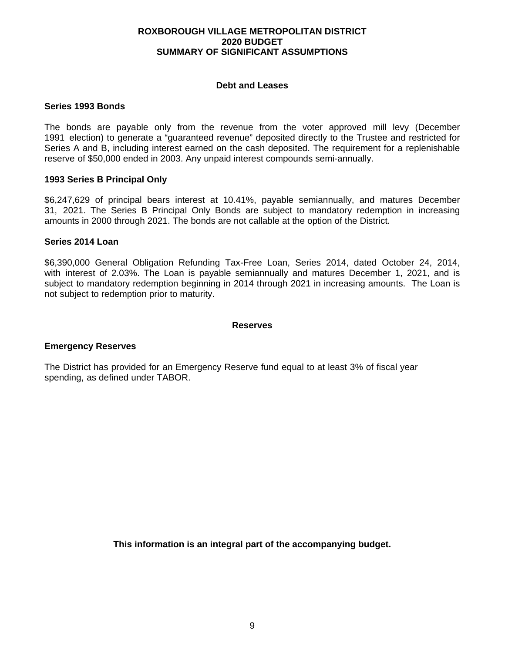### **ROXBOROUGH VILLAGE METROPOLITAN DISTRICT 2020 BUDGET SUMMARY OF SIGNIFICANT ASSUMPTIONS**

### **Debt and Leases**

### **Series 1993 Bonds**

The bonds are payable only from the revenue from the voter approved mill levy (December 1991 election) to generate a "guaranteed revenue" deposited directly to the Trustee and restricted for Series A and B, including interest earned on the cash deposited. The requirement for a replenishable reserve of \$50,000 ended in 2003. Any unpaid interest compounds semi-annually.

### **1993 Series B Principal Only**

\$6,247,629 of principal bears interest at 10.41%, payable semiannually, and matures December 31, 2021. The Series B Principal Only Bonds are subject to mandatory redemption in increasing amounts in 2000 through 2021. The bonds are not callable at the option of the District.

#### **Series 2014 Loan**

\$6,390,000 General Obligation Refunding Tax-Free Loan, Series 2014, dated October 24, 2014, with interest of 2.03%. The Loan is payable semiannually and matures December 1, 2021, and is subject to mandatory redemption beginning in 2014 through 2021 in increasing amounts. The Loan is not subject to redemption prior to maturity.

#### **Reserves**

### **Emergency Reserves**

The District has provided for an Emergency Reserve fund equal to at least 3% of fiscal year spending, as defined under TABOR.

**This information is an integral part of the accompanying budget.**